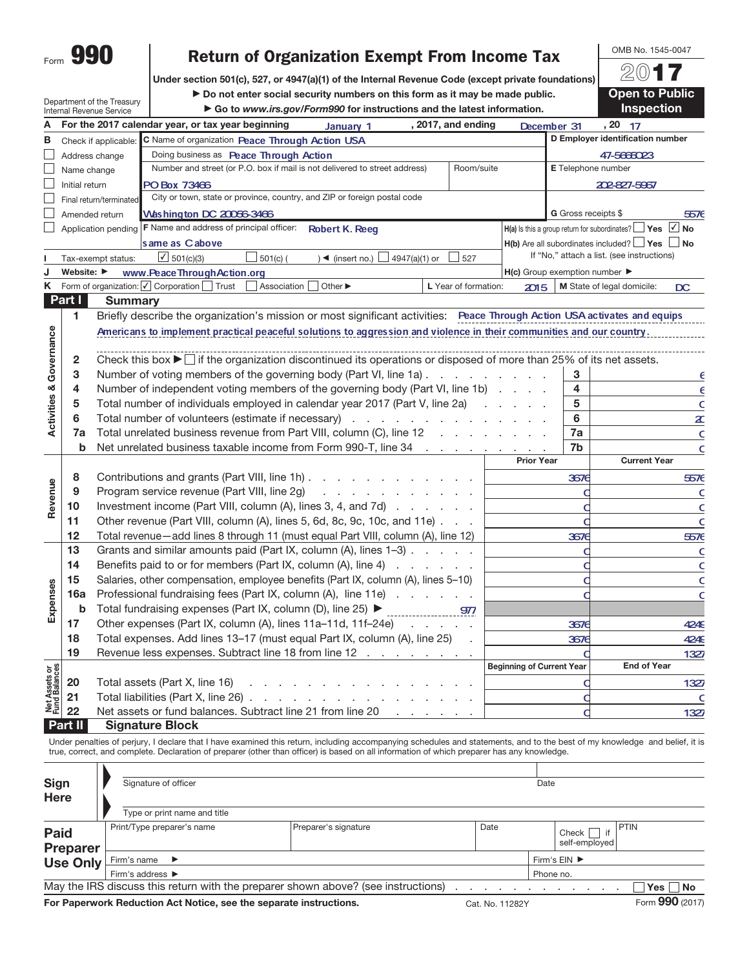| Form |  |
|------|--|

## Return of Organization Exempt From Income Tax

Under section 501(c), 527, or 4947(a)(1) of the Internal Revenue Code (except private foundations)

Department of the Treasury Internal Revenue Service

 $\blacktriangleright$  Do not enter social security numbers on this form as it may be made public. **Go to www.irs.gov/Form990 for instructions and the latest information.** 

2017 **Open to Public** Inspection

OMB No. 1545-0047

|                                |                                | internal Revenue Service | r av to www.ira.gov/r ormood for instructions and the latest imormation.                                                                    |               |                                  |                            | 1113pccuoli                                                          |
|--------------------------------|--------------------------------|--------------------------|---------------------------------------------------------------------------------------------------------------------------------------------|---------------|----------------------------------|----------------------------|----------------------------------------------------------------------|
| Α                              |                                |                          | For the 2017 calendar year, or tax year beginning<br>, 2017, and ending<br>January 1                                                        |               | December 31                      |                            | , 20 17                                                              |
| В                              |                                | Check if applicable:     | C Name of organization Peace Through Action USA                                                                                             |               |                                  |                            | D Employer identification number                                     |
|                                |                                | Address change           | Doing business as Peace Through Action                                                                                                      |               |                                  |                            | 47-5665023                                                           |
|                                | Name change                    |                          | Number and street (or P.O. box if mail is not delivered to street address)                                                                  | Room/suite    |                                  |                            | <b>E</b> Telephone number                                            |
|                                | Initial return                 |                          | PO Box 73466                                                                                                                                |               |                                  |                            | 202-827-5967                                                         |
|                                |                                | Final return/terminated  | City or town, state or province, country, and ZIP or foreign postal code                                                                    |               |                                  |                            |                                                                      |
|                                |                                | Amended return           | Washington DC 20056-3466                                                                                                                    |               |                                  | <b>G</b> Gross receipts \$ | 5576                                                                 |
|                                |                                |                          | Application pending   F Name and address of principal officer:<br><b>Robert K. Reeq</b>                                                     |               |                                  |                            | $H(a)$ is this a group return for subordinates? $\Box$ Yes $\Box$ No |
|                                |                                |                          | same as Cabove                                                                                                                              |               |                                  |                            | $H(b)$ Are all subordinates included? $\Box$ Yes $\Box$ No           |
|                                |                                | Tax-exempt status:       | $\sqrt{501(c)(3)}$<br>$501(c)$ (<br>$\rightarrow$ (insert no.) $\Box$ 4947(a)(1) or<br>$\frac{1}{2}$ 527                                    |               |                                  |                            | If "No," attach a list. (see instructions)                           |
| J                              | Website: $\blacktriangleright$ |                          | www.PeaceThroughAction.org                                                                                                                  |               | H(c) Group exemption number      |                            |                                                                      |
| Κ                              |                                |                          | Form of organization: ○ Corporation Trust<br>Association<br>Other $\blacktriangleright$<br>L Year of formation:                             |               | 2015                             |                            | M State of legal domicile:<br>$\overline{D}$                         |
|                                | Part I                         | <b>Summary</b>           |                                                                                                                                             |               |                                  |                            |                                                                      |
|                                | 1.                             |                          | Briefly describe the organization's mission or most significant activities: Peace Through Action USA activates and equips                   |               |                                  |                            |                                                                      |
| Activities & Governance        |                                |                          | Americans to implement practical peaceful solutions to aggression and violence in their communities and our country.                        |               |                                  |                            |                                                                      |
|                                |                                |                          |                                                                                                                                             |               |                                  |                            |                                                                      |
|                                | $\mathbf{2}$                   |                          | Check this box $\blacktriangleright$ $\Box$ if the organization discontinued its operations or disposed of more than 25% of its net assets. |               |                                  |                            |                                                                      |
|                                | 3                              |                          | Number of voting members of the governing body (Part VI, line 1a)                                                                           |               |                                  | 3                          | Е                                                                    |
|                                | 4                              |                          | Number of independent voting members of the governing body (Part VI, line 1b)                                                               |               |                                  | 4                          | $\epsilon$                                                           |
|                                | 5                              |                          | Total number of individuals employed in calendar year 2017 (Part V, line 2a)                                                                |               |                                  | 5                          | C                                                                    |
|                                | 6                              |                          | Total number of volunteers (estimate if necessary)                                                                                          |               |                                  | 6                          | $\pmb{\mathop{z}}$                                                   |
|                                | 7a                             |                          | Total unrelated business revenue from Part VIII, column (C), line 12                                                                        |               |                                  | 7a                         | C                                                                    |
|                                | b                              |                          | Net unrelated business taxable income from Form 990-T, line 34 manufactured business taxable income from Porn                               |               |                                  | 7b                         | C                                                                    |
|                                |                                |                          |                                                                                                                                             |               | <b>Prior Year</b>                |                            | <b>Current Year</b>                                                  |
|                                | 8                              |                          | Contributions and grants (Part VIII, line 1h)                                                                                               |               |                                  | 3676                       | 5576                                                                 |
|                                | 9                              |                          | Program service revenue (Part VIII, line 2g)<br>والمتعاط والمتعاط والمتعاط والمتعاط                                                         |               |                                  |                            | $\mathsf{C}$                                                         |
| Revenue                        | 10                             |                          | Investment income (Part VIII, column (A), lines 3, 4, and 7d)                                                                               |               |                                  |                            | C                                                                    |
|                                | 11                             |                          | Other revenue (Part VIII, column (A), lines 5, 6d, 8c, 9c, 10c, and 11e)                                                                    |               |                                  |                            | C                                                                    |
|                                | 12                             |                          | Total revenue-add lines 8 through 11 (must equal Part VIII, column (A), line 12)                                                            |               |                                  | 3676                       | 5576                                                                 |
|                                | 13                             |                          | Grants and similar amounts paid (Part IX, column (A), lines 1-3)                                                                            |               |                                  |                            | $\mathsf{C}$                                                         |
|                                | 14                             |                          | Benefits paid to or for members (Part IX, column (A), line 4)                                                                               |               |                                  |                            | C                                                                    |
|                                | 15                             |                          | Salaries, other compensation, employee benefits (Part IX, column (A), lines 5-10)                                                           |               |                                  | C                          | C                                                                    |
|                                | 16a                            |                          | Professional fundraising fees (Part IX, column (A), line 11e)                                                                               |               |                                  |                            | C                                                                    |
| Expenses                       | b                              |                          | Total fundraising expenses (Part IX, column (D), line 25) ▶                                                                                 |               |                                  |                            |                                                                      |
|                                | 17                             |                          | Other expenses (Part IX, column (A), lines 11a-11d, 11f-24e)                                                                                |               |                                  | 3676                       | 4249                                                                 |
|                                | 18                             |                          | Total expenses. Add lines 13-17 (must equal Part IX, column (A), line 25)                                                                   | $\mathcal{L}$ |                                  | 3676                       | 4249                                                                 |
|                                | 19                             |                          | Revenue less expenses. Subtract line 18 from line 12                                                                                        |               |                                  |                            | 1327                                                                 |
|                                |                                |                          |                                                                                                                                             |               | <b>Beginning of Current Year</b> |                            | <b>End of Year</b>                                                   |
| Net Assets or<br>Fund Balances | 20                             |                          | Total assets (Part X, line 16)                                                                                                              |               |                                  |                            | 1327                                                                 |
|                                | 21                             |                          | Total liabilities (Part X, line 26) $\ldots$ $\ldots$ $\ldots$ $\ldots$ $\ldots$                                                            |               |                                  | C                          | C                                                                    |
|                                | 22                             |                          | Net assets or fund balances. Subtract line 21 from line 20                                                                                  |               |                                  | d                          | 1327                                                                 |
|                                | Part II                        |                          | <b>Signature Block</b>                                                                                                                      |               |                                  |                            |                                                                      |

Under penalties of perjury, I declare that I have examined this return, including accompanying schedules and statements, and to the best of my knowledge and belief, it is true, correct, and complete. Declaration of preparer (other than officer) is based on all information of which preparer has any knowledge.

| <b>Sign</b><br><b>Here</b> | Signature of officer                                                              |                                    | Date                         |             |                 |
|----------------------------|-----------------------------------------------------------------------------------|------------------------------------|------------------------------|-------------|-----------------|
|                            | Type or print name and title                                                      |                                    |                              |             |                 |
| <b>Paid</b><br>Preparer    | Print/Type preparer's name                                                        |                                    | if<br>Check<br>self-emploved | <b>PTIN</b> |                 |
| <b>Use Only</b>            | Firm's name $\blacktriangleright$                                                 | Firm's $EIN$ $\blacktriangleright$ |                              |             |                 |
|                            | Firm's address $\blacktriangleright$                                              | Phone no.                          |                              |             |                 |
|                            | May the IRS discuss this return with the preparer shown above? (see instructions) |                                    |                              |             | $Yes \mid No$   |
|                            | For Paperwork Reduction Act Notice, see the separate instructions.                | Cat. No. 11282Y                    |                              |             | Form 990 (2017) |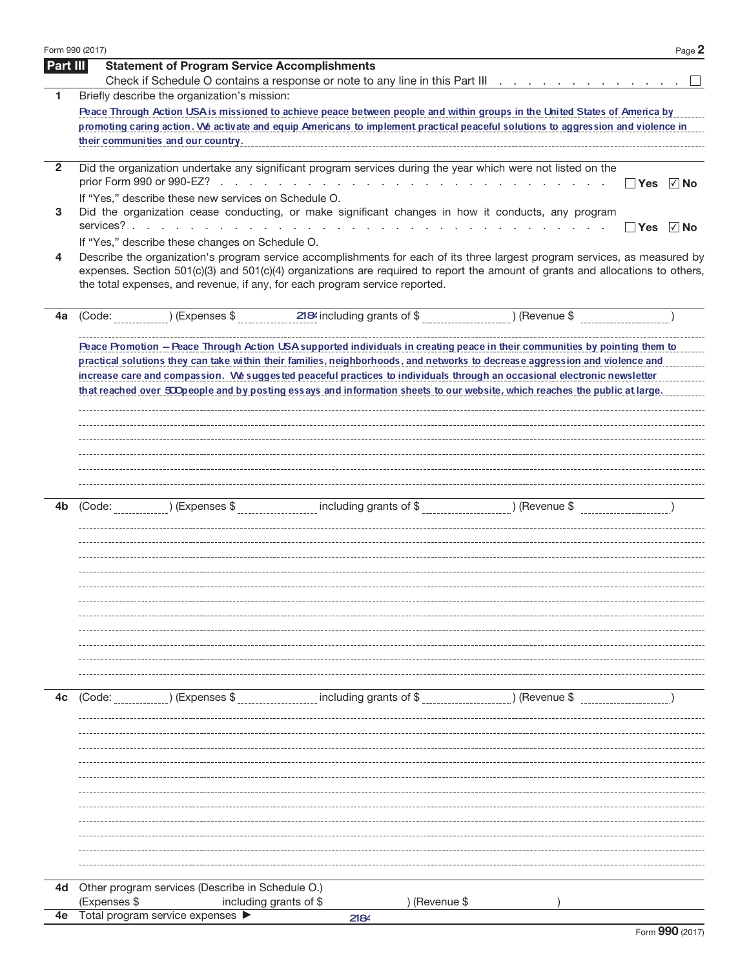| Form 990 (2017) | Page 2                                                                                                                                                                                                                                                                                                                                                                                                                                                                                                                  |
|-----------------|-------------------------------------------------------------------------------------------------------------------------------------------------------------------------------------------------------------------------------------------------------------------------------------------------------------------------------------------------------------------------------------------------------------------------------------------------------------------------------------------------------------------------|
| Part III        | <b>Statement of Program Service Accomplishments</b><br>Check if Schedule O contains a response or note to any line in this Part III [1] [1] [1] [1] [1] [1] Check if Schedule O contains a response or note to any line in this Part III [1] [1] [1] [1] $\frac{1}{2}$                                                                                                                                                                                                                                                  |
| 1               | Briefly describe the organization's mission:                                                                                                                                                                                                                                                                                                                                                                                                                                                                            |
|                 | Peace Through Action USA is missioned to achieve peace between people and within groups in the United States of America by                                                                                                                                                                                                                                                                                                                                                                                              |
|                 | promoting caring action. We activate and equip Americans to implement practical peaceful solutions to aggression and violence in                                                                                                                                                                                                                                                                                                                                                                                        |
|                 | their communities and our country.                                                                                                                                                                                                                                                                                                                                                                                                                                                                                      |
| $\mathbf{2}$    | Did the organization undertake any significant program services during the year which were not listed on the                                                                                                                                                                                                                                                                                                                                                                                                            |
|                 | $\sqrt{ }$ No<br><b>Yes</b><br>If "Yes," describe these new services on Schedule O.                                                                                                                                                                                                                                                                                                                                                                                                                                     |
| 3               | Did the organization cease conducting, or make significant changes in how it conducts, any program<br>services?<br>the contract of the contract of the contract of the contract of the contract of the contract of<br>$\sqrt{ }$ No<br>∣ ∣Yes                                                                                                                                                                                                                                                                           |
|                 | If "Yes," describe these changes on Schedule O.                                                                                                                                                                                                                                                                                                                                                                                                                                                                         |
| 4               | Describe the organization's program service accomplishments for each of its three largest program services, as measured by<br>expenses. Section 501(c)(3) and 501(c)(4) organizations are required to report the amount of grants and allocations to others,<br>the total expenses, and revenue, if any, for each program service reported.                                                                                                                                                                             |
| 4a              | ) (Revenue \$<br>$($ Expenses \$ $2184$ including grants of \$<br>(Code:                                                                                                                                                                                                                                                                                                                                                                                                                                                |
|                 | Peace Promotion - Peace Through Action USA supported individuals in creating peace in their communities by pointing them to<br>practical solutions they can take within their families, neighborhoods, and networks to decrease aggression and violence and<br>increase care and compassion. We suggested peaceful practices to individuals through an occasional electronic newsletter<br>that reached over 500 people and by posting essays and information sheets to our website, which reaches the public at large. |
| 4b              | _) (Expenses \$ ___________________ including grants of \$ ______________________) (Revenue \$ _______________________<br>(Code:                                                                                                                                                                                                                                                                                                                                                                                        |
|                 |                                                                                                                                                                                                                                                                                                                                                                                                                                                                                                                         |
| 4c              | including grants of \$<br>) (Expenses \$<br>) (Revenue \$<br>(Code:                                                                                                                                                                                                                                                                                                                                                                                                                                                     |
|                 |                                                                                                                                                                                                                                                                                                                                                                                                                                                                                                                         |
|                 |                                                                                                                                                                                                                                                                                                                                                                                                                                                                                                                         |
| 4d              | Other program services (Describe in Schedule O.)                                                                                                                                                                                                                                                                                                                                                                                                                                                                        |
| 4e              | (Expenses \$<br>) (Revenue \$<br>including grants of \$<br>Total program service expenses                                                                                                                                                                                                                                                                                                                                                                                                                               |
|                 | 2184                                                                                                                                                                                                                                                                                                                                                                                                                                                                                                                    |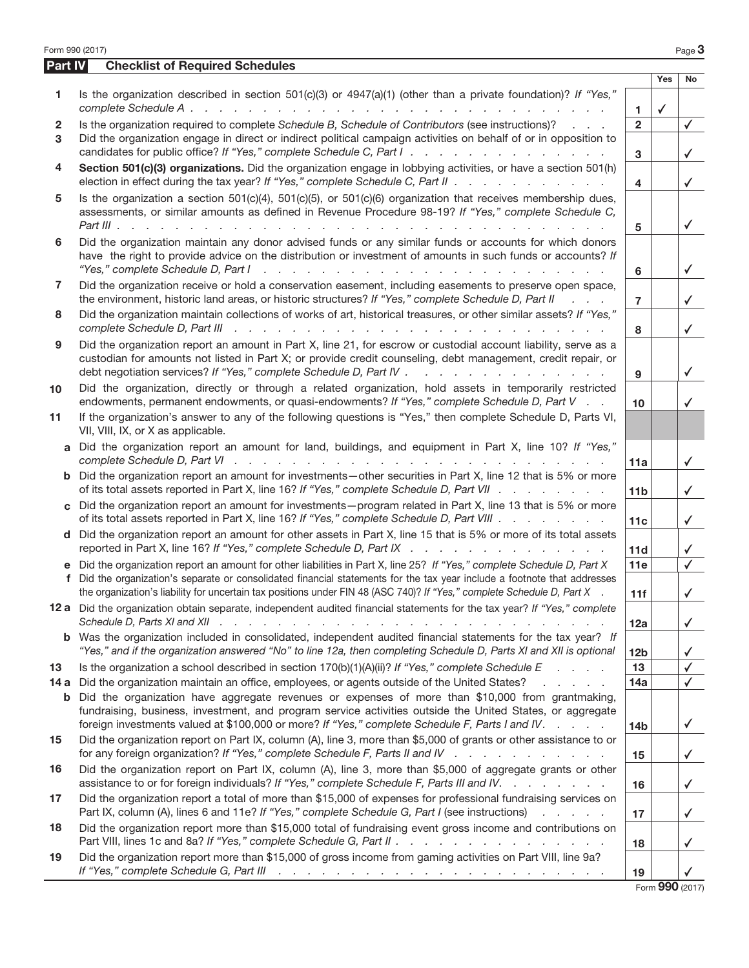| Form 990 (2017) |                                                                                                                                                                                                                                                                                                                                                                                        |                     |                     | Page 3                         |
|-----------------|----------------------------------------------------------------------------------------------------------------------------------------------------------------------------------------------------------------------------------------------------------------------------------------------------------------------------------------------------------------------------------------|---------------------|---------------------|--------------------------------|
| Part IV         | <b>Checklist of Required Schedules</b>                                                                                                                                                                                                                                                                                                                                                 |                     |                     |                                |
| 1               | Is the organization described in section 501(c)(3) or 4947(a)(1) (other than a private foundation)? If "Yes,"<br>complete Schedule A.<br>and the company of the company of the company of the company of the company of the company of the company of the company of the company of the company of the company of the company of the company of the company of the comp                | $\mathbf{1}$        | Yes<br>$\checkmark$ | No                             |
| 2<br>3          | Is the organization required to complete Schedule B, Schedule of Contributors (see instructions)?<br>and the control<br>Did the organization engage in direct or indirect political campaign activities on behalf of or in opposition to<br>candidates for public office? If "Yes," complete Schedule C, Part I.                                                                       | $\overline{2}$<br>3 |                     | $\checkmark$<br>$\checkmark$   |
| 4               | Section 501(c)(3) organizations. Did the organization engage in lobbying activities, or have a section 501(h)<br>election in effect during the tax year? If "Yes," complete Schedule C, Part II                                                                                                                                                                                        | 4                   |                     | $\checkmark$                   |
| 5               | Is the organization a section 501(c)(4), 501(c)(5), or 501(c)(6) organization that receives membership dues,<br>assessments, or similar amounts as defined in Revenue Procedure 98-19? If "Yes," complete Schedule C,                                                                                                                                                                  | 5                   |                     | $\checkmark$                   |
| 6               | Did the organization maintain any donor advised funds or any similar funds or accounts for which donors<br>have the right to provide advice on the distribution or investment of amounts in such funds or accounts? If<br>"Yes," complete Schedule D, Part I<br>المتناول والمتناول والمتناول والمتناول والمتناول والمتناول والمتناول والمناول                                          | 6                   |                     | $\checkmark$                   |
| 7               | Did the organization receive or hold a conservation easement, including easements to preserve open space,<br>the environment, historic land areas, or historic structures? If "Yes," complete Schedule D, Part II<br>$\mathbf{r} = \mathbf{r} + \mathbf{r}$                                                                                                                            | $\overline{7}$      |                     | $\checkmark$                   |
| 8               | Did the organization maintain collections of works of art, historical treasures, or other similar assets? If "Yes,"<br>and the contract of the contract of the contract of the contract of the contract of the contract of the contract of the contract of the contract of the contract of the contract of the contract of the contract of the contra<br>complete Schedule D, Part III | 8                   |                     | $\checkmark$                   |
| 9               | Did the organization report an amount in Part X, line 21, for escrow or custodial account liability, serve as a<br>custodian for amounts not listed in Part X; or provide credit counseling, debt management, credit repair, or<br>debt negotiation services? If "Yes," complete Schedule D, Part IV .<br>and the company of the company of the                                        | 9                   |                     | ✓                              |
| 10              | Did the organization, directly or through a related organization, hold assets in temporarily restricted<br>endowments, permanent endowments, or quasi-endowments? If "Yes," complete Schedule D, Part V                                                                                                                                                                                | 10                  |                     | ✓                              |
| 11              | If the organization's answer to any of the following questions is "Yes," then complete Schedule D, Parts VI,<br>VII, VIII, IX, or X as applicable.                                                                                                                                                                                                                                     |                     |                     |                                |
| a               | Did the organization report an amount for land, buildings, and equipment in Part X, line 10? If "Yes,"                                                                                                                                                                                                                                                                                 | 11a                 |                     | $\checkmark$                   |
|                 | <b>b</b> Did the organization report an amount for investments—other securities in Part X, line 12 that is 5% or more<br>of its total assets reported in Part X, line 16? If "Yes," complete Schedule D, Part VII                                                                                                                                                                      | 11 <sub>b</sub>     |                     | $\checkmark$                   |
|                 | c Did the organization report an amount for investments—program related in Part X, line 13 that is 5% or more<br>of its total assets reported in Part X, line 16? If "Yes," complete Schedule D, Part VIII                                                                                                                                                                             | 11c                 |                     | $\checkmark$                   |
|                 | d Did the organization report an amount for other assets in Part X, line 15 that is 5% or more of its total assets<br>reported in Part X, line 16? If "Yes," complete Schedule D, Part IX                                                                                                                                                                                              | 11d                 |                     | ✓                              |
|                 | e Did the organization report an amount for other liabilities in Part X, line 25? If "Yes," complete Schedule D, Part X<br>f Did the organization's separate or consolidated financial statements for the tax year include a footnote that addresses<br>the organization's liability for uncertain tax positions under FIN 48 (ASC 740)? If "Yes," complete Schedule D, Part X         | 11e<br>11f          |                     | $\checkmark$                   |
|                 | 12 a Did the organization obtain separate, independent audited financial statements for the tax year? If "Yes," complete                                                                                                                                                                                                                                                               | 12a                 |                     | $\checkmark$                   |
|                 | <b>b</b> Was the organization included in consolidated, independent audited financial statements for the tax year? If<br>"Yes," and if the organization answered "No" to line 12a, then completing Schedule D, Parts XI and XII is optional                                                                                                                                            | 12 <sub>b</sub>     |                     | ✓                              |
| 13<br>14 a      | Is the organization a school described in section $170(b)(1)(A)(ii)?$ If "Yes," complete Schedule E<br>and a control<br>Did the organization maintain an office, employees, or agents outside of the United States?<br>and a strong of the                                                                                                                                             | 13<br>14a           |                     | √                              |
| b               | Did the organization have aggregate revenues or expenses of more than \$10,000 from grantmaking,<br>fundraising, business, investment, and program service activities outside the United States, or aggregate<br>foreign investments valued at \$100,000 or more? If "Yes," complete Schedule F, Parts I and IV.                                                                       | 14 <sub>b</sub>     |                     | $\checkmark$                   |
| 15              | Did the organization report on Part IX, column (A), line 3, more than \$5,000 of grants or other assistance to or<br>for any foreign organization? If "Yes," complete Schedule F, Parts II and IV                                                                                                                                                                                      | 15                  |                     | $\checkmark$                   |
| 16              | Did the organization report on Part IX, column (A), line 3, more than \$5,000 of aggregate grants or other<br>assistance to or for foreign individuals? If "Yes," complete Schedule F, Parts III and IV.                                                                                                                                                                               | 16                  |                     | $\checkmark$                   |
| 17              | Did the organization report a total of more than \$15,000 of expenses for professional fundraising services on<br>Part IX, column (A), lines 6 and 11e? If "Yes," complete Schedule G, Part I (see instructions)<br>and a state of the state of                                                                                                                                        | 17                  |                     | ✓                              |
| 18              | Did the organization report more than \$15,000 total of fundraising event gross income and contributions on<br>Part VIII, lines 1c and 8a? If "Yes," complete Schedule G, Part II                                                                                                                                                                                                      | 18                  |                     | ✓                              |
| 19              | Did the organization report more than \$15,000 of gross income from gaming activities on Part VIII, line 9a?<br>If "Yes," complete Schedule G, Part III (Alleman Alexandrei Alexandrei Alexandrei Alexandrei Alexandrei Alexandrei Alexandrei Alexandrei Alexandrei Alexandrei Alexandrei Alexandrei Alexandrei Alexandrei Alexandrei Alexandr                                         | 19                  |                     |                                |
|                 |                                                                                                                                                                                                                                                                                                                                                                                        |                     |                     | $F_{\text{num}}$ QQQ $(0.017)$ |

Form 990 (2017)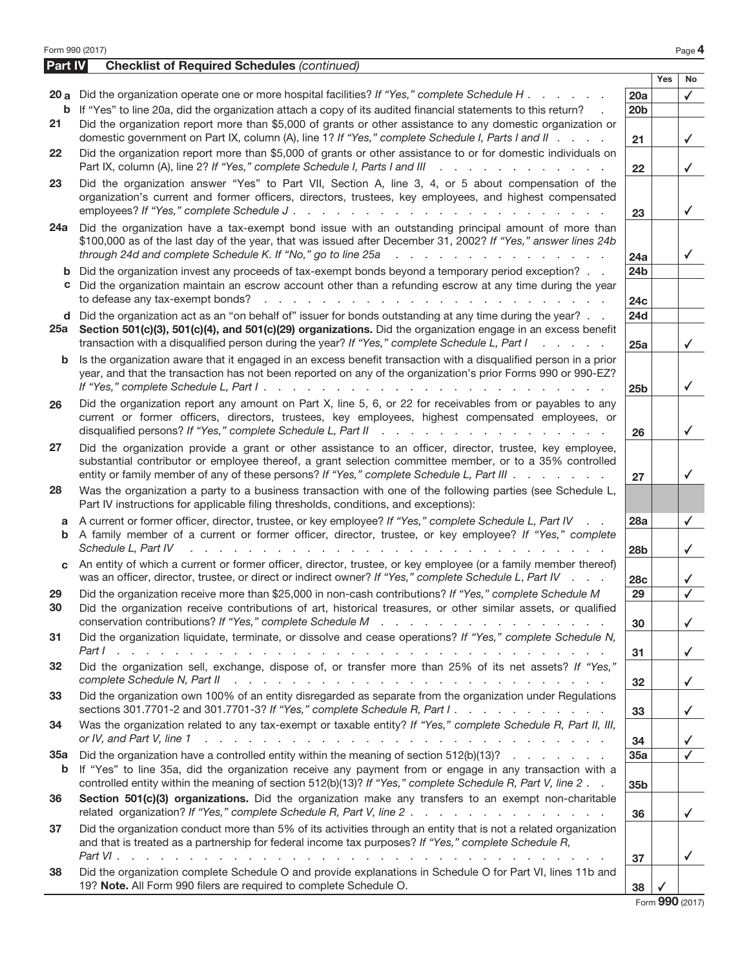| <b>Part IV</b> | Form 990 (2017)<br><b>Checklist of Required Schedules (continued)</b>                                                                                                                                                                                                                                                                                                           |                        |            | Page 4          |
|----------------|---------------------------------------------------------------------------------------------------------------------------------------------------------------------------------------------------------------------------------------------------------------------------------------------------------------------------------------------------------------------------------|------------------------|------------|-----------------|
|                |                                                                                                                                                                                                                                                                                                                                                                                 |                        | <b>Yes</b> | No              |
|                | 20 a Did the organization operate one or more hospital facilities? If "Yes," complete Schedule H                                                                                                                                                                                                                                                                                | 20a                    |            | $\checkmark$    |
|                | <b>b</b> If "Yes" to line 20a, did the organization attach a copy of its audited financial statements to this return?                                                                                                                                                                                                                                                           | 20 <sub>b</sub>        |            |                 |
| 21             | Did the organization report more than \$5,000 of grants or other assistance to any domestic organization or<br>domestic government on Part IX, column (A), line 1? If "Yes," complete Schedule I, Parts I and II                                                                                                                                                                | 21                     |            | $\checkmark$    |
| 22             | Did the organization report more than \$5,000 of grants or other assistance to or for domestic individuals on<br>Part IX, column (A), line 2? If "Yes," complete Schedule I, Parts I and III<br>.                                                                                                                                                                               | 22                     |            | $\checkmark$    |
| 23             | Did the organization answer "Yes" to Part VII, Section A, line 3, 4, or 5 about compensation of the<br>organization's current and former officers, directors, trustees, key employees, and highest compensated                                                                                                                                                                  |                        |            | $\checkmark$    |
| 24a            | Did the organization have a tax-exempt bond issue with an outstanding principal amount of more than<br>\$100,000 as of the last day of the year, that was issued after December 31, 2002? If "Yes," answer lines 24b<br>through 24d and complete Schedule K. If "No," go to line 25a<br>المتحادث والمتحادث والمتحادث والمتحادث والمتحاد                                         | 23                     |            | ✓               |
| b              | Did the organization invest any proceeds of tax-exempt bonds beyond a temporary period exception?                                                                                                                                                                                                                                                                               | 24a<br>24 <sub>b</sub> |            |                 |
| с              | Did the organization maintain an escrow account other than a refunding escrow at any time during the year<br>to defease any tax-exempt bonds?<br>and a complete the complete state of the complete state of the complete state of the complete state of the complete state of the complete state of the complete state of the complete state of the complete state of the compl | 24c                    |            |                 |
|                | d Did the organization act as an "on behalf of" issuer for bonds outstanding at any time during the year?                                                                                                                                                                                                                                                                       | <b>24d</b>             |            |                 |
|                | 25a Section 501(c)(3), 501(c)(4), and 501(c)(29) organizations. Did the organization engage in an excess benefit<br>transaction with a disqualified person during the year? If "Yes," complete Schedule L, Part I<br>and a state of the state                                                                                                                                   | 25a                    |            | ✓               |
| b              | Is the organization aware that it engaged in an excess benefit transaction with a disqualified person in a prior<br>year, and that the transaction has not been reported on any of the organization's prior Forms 990 or 990-EZ?                                                                                                                                                | 25 <sub>b</sub>        |            | ✓               |
| 26             | Did the organization report any amount on Part X, line 5, 6, or 22 for receivables from or payables to any<br>current or former officers, directors, trustees, key employees, highest compensated employees, or                                                                                                                                                                 | 26                     |            | ✓               |
| 27             | Did the organization provide a grant or other assistance to an officer, director, trustee, key employee,<br>substantial contributor or employee thereof, a grant selection committee member, or to a 35% controlled<br>entity or family member of any of these persons? If "Yes," complete Schedule L, Part III                                                                 | 27                     |            | ✓               |
| 28             | Was the organization a party to a business transaction with one of the following parties (see Schedule L,<br>Part IV instructions for applicable filing thresholds, conditions, and exceptions):                                                                                                                                                                                |                        |            |                 |
| a              | A current or former officer, director, trustee, or key employee? If "Yes," complete Schedule L, Part IV<br>$\sim$ $\sim$                                                                                                                                                                                                                                                        | 28a                    |            | $\checkmark$    |
| b              | A family member of a current or former officer, director, trustee, or key employee? If "Yes," complete<br>Schedule L, Part IV<br>a constitution and a constitution of the constitution of the constitution of the constitution of the constitution of the constitution of the constitution of the constitution of the constitution of the constitution of the c                 | 28 <sub>b</sub>        |            | ✓               |
|                | An entity of which a current or former officer, director, trustee, or key employee (or a family member thereof)<br>was an officer, director, trustee, or direct or indirect owner? If "Yes," complete Schedule L, Part IV                                                                                                                                                       | 28c                    |            |                 |
| 29<br>30       | Did the organization receive more than \$25,000 in non-cash contributions? If "Yes," complete Schedule M<br>Did the organization receive contributions of art, historical treasures, or other similar assets, or qualified                                                                                                                                                      | 29                     |            |                 |
|                |                                                                                                                                                                                                                                                                                                                                                                                 | 30                     |            | $\checkmark$    |
| 31             | Did the organization liquidate, terminate, or dissolve and cease operations? If "Yes," complete Schedule N,<br>Part I<br>and the second contract of the contract of the contract of the contract of the contract of the contract of the                                                                                                                                         | 31                     |            | $\checkmark$    |
| 32             | Did the organization sell, exchange, dispose of, or transfer more than 25% of its net assets? If "Yes,"<br>complete Schedule N, Part II recently recently recently recently recently recently recently recently recently recently recently recently recently recently recently recently recently recently recently recently recently rece                                       | 32                     |            | $\checkmark$    |
| 33             | Did the organization own 100% of an entity disregarded as separate from the organization under Regulations<br>sections 301.7701-2 and 301.7701-3? If "Yes," complete Schedule R, Part I. $\ldots$                                                                                                                                                                               | 33                     |            | $\checkmark$    |
| 34             | Was the organization related to any tax-exempt or taxable entity? If "Yes," complete Schedule R, Part II, III,<br>or IV, and Part V, line 1<br>المتحال والمتحال والمتحال والمتحال والمتحال والمتحال والمتحال والمتحال والمتحال والمتحال والمتحال والمتحال                                                                                                                       | 34                     |            | ✓               |
| 35a<br>b       | Did the organization have a controlled entity within the meaning of section $512(b)(13)?$<br>If "Yes" to line 35a, did the organization receive any payment from or engage in any transaction with a<br>controlled entity within the meaning of section 512(b)(13)? If "Yes," complete Schedule R, Part V, line 2.                                                              | 35a<br>35 <sub>b</sub> |            |                 |
| 36             | Section 501(c)(3) organizations. Did the organization make any transfers to an exempt non-charitable                                                                                                                                                                                                                                                                            | 36                     |            | $\checkmark$    |
| 37             | Did the organization conduct more than 5% of its activities through an entity that is not a related organization                                                                                                                                                                                                                                                                |                        |            |                 |
|                | and that is treated as a partnership for federal income tax purposes? If "Yes," complete Schedule R,                                                                                                                                                                                                                                                                            | 37                     |            | ✓               |
| 38             | Did the organization complete Schedule O and provide explanations in Schedule O for Part VI, lines 11b and<br>19? Note. All Form 990 filers are required to complete Schedule O.                                                                                                                                                                                                | 38                     |            |                 |
|                |                                                                                                                                                                                                                                                                                                                                                                                 |                        |            | Form 990 (2017) |

 $U(2017)$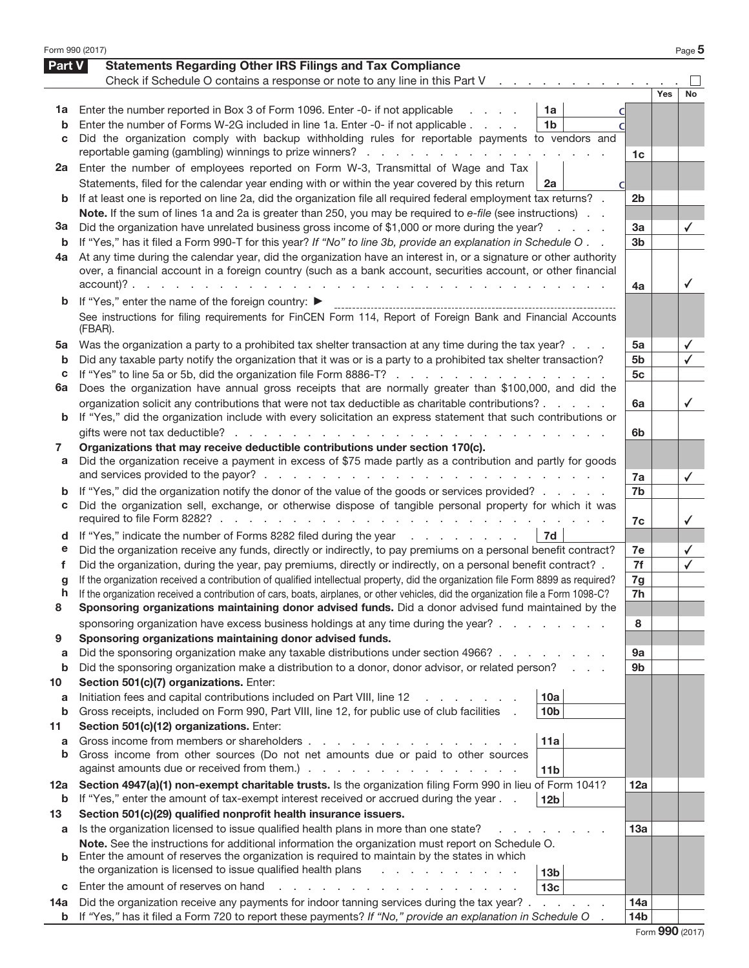| Form 990 (2017) |                                                                                                                                                                                           |                 |     | Page 5       |
|-----------------|-------------------------------------------------------------------------------------------------------------------------------------------------------------------------------------------|-----------------|-----|--------------|
| Part V          | <b>Statements Regarding Other IRS Filings and Tax Compliance</b>                                                                                                                          |                 |     |              |
|                 | Check if Schedule O contains a response or note to any line in this Part V                                                                                                                |                 |     |              |
|                 |                                                                                                                                                                                           |                 | Yes | No           |
| 1a              | Enter the number reported in Box 3 of Form 1096. Enter -0- if not applicable<br>1a                                                                                                        |                 |     |              |
| b               | Enter the number of Forms W-2G included in line 1a. Enter -0- if not applicable<br>1 <sub>b</sub>                                                                                         |                 |     |              |
| c               | Did the organization comply with backup withholding rules for reportable payments to vendors and                                                                                          |                 |     |              |
|                 | reportable gaming (gambling) winnings to prize winners?                                                                                                                                   | 1c              |     |              |
| 2a              | Enter the number of employees reported on Form W-3, Transmittal of Wage and Tax                                                                                                           |                 |     |              |
|                 | Statements, filed for the calendar year ending with or within the year covered by this return<br>2a                                                                                       |                 |     |              |
| b               | If at least one is reported on line 2a, did the organization file all required federal employment tax returns? .                                                                          | 2 <sub>b</sub>  |     |              |
|                 | Note. If the sum of lines 1a and 2a is greater than 250, you may be required to e-file (see instructions).                                                                                |                 |     |              |
| За              | Did the organization have unrelated business gross income of \$1,000 or more during the year?<br>and a state                                                                              | 3a              |     | ✓            |
| b               | If "Yes," has it filed a Form 990-T for this year? If "No" to line 3b, provide an explanation in Schedule O. .                                                                            | 3 <sub>b</sub>  |     |              |
| 4a              | At any time during the calendar year, did the organization have an interest in, or a signature or other authority                                                                         |                 |     |              |
|                 | over, a financial account in a foreign country (such as a bank account, securities account, or other financial<br>$account)? \t\t\t\t \t\t\t \t\t\t$<br>and the company of the company of |                 |     | ✓            |
|                 | and a state of the state of the                                                                                                                                                           | 4a              |     |              |
| b               | If "Yes," enter the name of the foreign country: ▶                                                                                                                                        |                 |     |              |
|                 | See instructions for filing requirements for FinCEN Form 114, Report of Foreign Bank and Financial Accounts<br>(FBAR).                                                                    |                 |     |              |
| 5a              | Was the organization a party to a prohibited tax shelter transaction at any time during the tax year?                                                                                     | 5a              |     | ✓            |
| b               | Did any taxable party notify the organization that it was or is a party to a prohibited tax shelter transaction?                                                                          | 5b              |     | $\checkmark$ |
| С               | If "Yes" to line 5a or 5b, did the organization file Form 8886-T?                                                                                                                         | 5c              |     |              |
| 6a              | Does the organization have annual gross receipts that are normally greater than \$100,000, and did the                                                                                    |                 |     |              |
|                 | organization solicit any contributions that were not tax deductible as charitable contributions?                                                                                          | 6a              |     | ✓            |
| b               | If "Yes," did the organization include with every solicitation an express statement that such contributions or                                                                            |                 |     |              |
|                 | gifts were not tax deductible?                                                                                                                                                            | 6b              |     |              |
| 7               | Organizations that may receive deductible contributions under section 170(c).                                                                                                             |                 |     |              |
| а               | Did the organization receive a payment in excess of \$75 made partly as a contribution and partly for goods                                                                               | 7a              |     |              |
| b               | If "Yes," did the organization notify the donor of the value of the goods or services provided?                                                                                           | 7b              |     | $\checkmark$ |
| С               | Did the organization sell, exchange, or otherwise dispose of tangible personal property for which it was                                                                                  |                 |     |              |
|                 |                                                                                                                                                                                           | 7c              |     | ✓            |
| d               | If "Yes," indicate the number of Forms 8282 filed during the year<br>7d                                                                                                                   |                 |     |              |
| е               | Did the organization receive any funds, directly or indirectly, to pay premiums on a personal benefit contract?                                                                           | 7e              |     | ✓            |
| f               | Did the organization, during the year, pay premiums, directly or indirectly, on a personal benefit contract? .                                                                            | 7f              |     | $\checkmark$ |
| g               | If the organization received a contribution of qualified intellectual property, did the organization file Form 8899 as required?                                                          | 7g              |     |              |
| h               | If the organization received a contribution of cars, boats, airplanes, or other vehicles, did the organization file a Form 1098-C?                                                        | 7h              |     |              |
| 8               | Sponsoring organizations maintaining donor advised funds. Did a donor advised fund maintained by the                                                                                      |                 |     |              |
|                 | sponsoring organization have excess business holdings at any time during the year?                                                                                                        | 8               |     |              |
| 9               | Sponsoring organizations maintaining donor advised funds.                                                                                                                                 |                 |     |              |
| a               | Did the sponsoring organization make any taxable distributions under section 4966?                                                                                                        | 9а              |     |              |
| b               | Did the sponsoring organization make a distribution to a donor, donor advisor, or related person?                                                                                         | 9b              |     |              |
| 10              | Section 501(c)(7) organizations. Enter:                                                                                                                                                   |                 |     |              |
| a               | Initiation fees and capital contributions included on Part VIII, line 12<br>10a                                                                                                           |                 |     |              |
| b               | Gross receipts, included on Form 990, Part VIII, line 12, for public use of club facilities<br>10 <sub>b</sub>                                                                            |                 |     |              |
| 11              | Section 501(c)(12) organizations. Enter:                                                                                                                                                  |                 |     |              |
| a<br>b          | Gross income from members or shareholders<br>11a<br>Gross income from other sources (Do not net amounts due or paid to other sources                                                      |                 |     |              |
|                 | against amounts due or received from them.).<br>the contract of the contract of the contract of<br>11 <sub>b</sub>                                                                        |                 |     |              |
|                 | Section 4947(a)(1) non-exempt charitable trusts. Is the organization filing Form 990 in lieu of Form 1041?                                                                                | 12a             |     |              |
| 12a<br>b        | If "Yes," enter the amount of tax-exempt interest received or accrued during the year<br>12 <sub>b</sub>                                                                                  |                 |     |              |
| 13              | Section 501(c)(29) qualified nonprofit health insurance issuers.                                                                                                                          |                 |     |              |
| a               | Is the organization licensed to issue qualified health plans in more than one state?                                                                                                      | 13а             |     |              |
|                 | Note. See the instructions for additional information the organization must report on Schedule O.                                                                                         |                 |     |              |
| b               | Enter the amount of reserves the organization is required to maintain by the states in which                                                                                              |                 |     |              |
|                 | the organization is licensed to issue qualified health plans<br>13 <sub>b</sub>                                                                                                           |                 |     |              |
| С               | Enter the amount of reserves on hand<br>13 <sub>c</sub>                                                                                                                                   |                 |     |              |
| 14a             | Did the organization receive any payments for indoor tanning services during the tax year? .<br>and the control of                                                                        | 14a             |     |              |
| b               | If "Yes," has it filed a Form 720 to report these payments? If "No," provide an explanation in Schedule O                                                                                 | 14 <sub>b</sub> |     |              |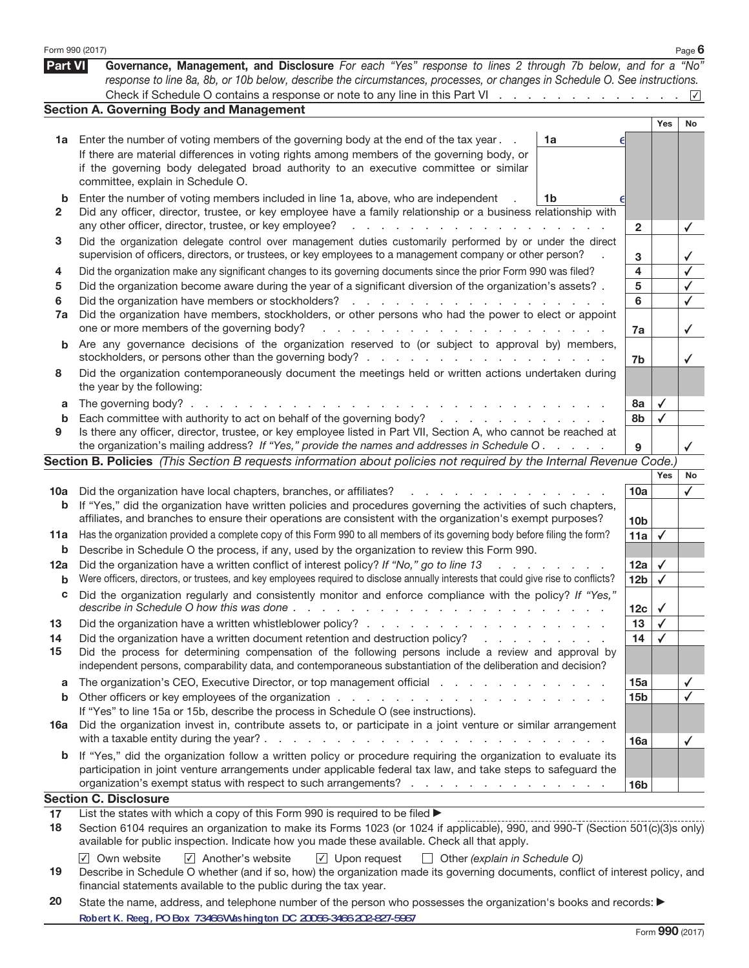|                   | Form 990 (2017)                                                                                                                                                                                                                                                                                                                                                                                                                                                     |                   |                              | Page $6$     |
|-------------------|---------------------------------------------------------------------------------------------------------------------------------------------------------------------------------------------------------------------------------------------------------------------------------------------------------------------------------------------------------------------------------------------------------------------------------------------------------------------|-------------------|------------------------------|--------------|
| <b>Part VI</b>    | Governance, Management, and Disclosure For each "Yes" response to lines 2 through 7b below, and for a "No"<br>response to line 8a, 8b, or 10b below, describe the circumstances, processes, or changes in Schedule O. See instructions.                                                                                                                                                                                                                             |                   |                              |              |
|                   |                                                                                                                                                                                                                                                                                                                                                                                                                                                                     |                   |                              |              |
|                   | <b>Section A. Governing Body and Management</b>                                                                                                                                                                                                                                                                                                                                                                                                                     |                   |                              |              |
|                   |                                                                                                                                                                                                                                                                                                                                                                                                                                                                     |                   | Yes                          | No           |
| 1a                | Enter the number of voting members of the governing body at the end of the tax year.<br>1a<br>If there are material differences in voting rights among members of the governing body, or<br>if the governing body delegated broad authority to an executive committee or similar<br>committee, explain in Schedule O.                                                                                                                                               |                   |                              |              |
| b<br>2            | Enter the number of voting members included in line 1a, above, who are independent<br>1b<br>Did any officer, director, trustee, or key employee have a family relationship or a business relationship with<br>any other officer, director, trustee, or key employee?<br>and the contract of the contract of the contract of the                                                                                                                                     | $\overline{2}$    |                              | ✓            |
| 3                 | Did the organization delegate control over management duties customarily performed by or under the direct<br>supervision of officers, directors, or trustees, or key employees to a management company or other person?                                                                                                                                                                                                                                             | 3                 |                              | ✓            |
| 4<br>5<br>6<br>7a | Did the organization make any significant changes to its governing documents since the prior Form 990 was filed?<br>Did the organization become aware during the year of a significant diversion of the organization's assets? .<br>Did the organization have members, stockholders, or other persons who had the power to elect or appoint<br>المتعاط والمتعاط والمتعاط والمتعاط والمتعاط والمتعاط والمتعاط والمتعاط<br>one or more members of the governing body? | 4<br>5<br>6<br>7a |                              | √<br>✓<br>✓  |
| b                 | Are any governance decisions of the organization reserved to (or subject to approval by) members,                                                                                                                                                                                                                                                                                                                                                                   | 7b                |                              | ✓            |
| 8                 | Did the organization contemporaneously document the meetings held or written actions undertaken during<br>the year by the following:                                                                                                                                                                                                                                                                                                                                |                   |                              |              |
| a<br>b            | The governing body?.<br>the contract of the contract of the con-<br><b>Contract Contract</b><br>Each committee with authority to act on behalf of the governing body?                                                                                                                                                                                                                                                                                               | 8а<br>8b          | $\checkmark$<br>$\checkmark$ |              |
| 9                 | Is there any officer, director, trustee, or key employee listed in Part VII, Section A, who cannot be reached at                                                                                                                                                                                                                                                                                                                                                    |                   |                              |              |
|                   | the organization's mailing address? If "Yes," provide the names and addresses in Schedule O.                                                                                                                                                                                                                                                                                                                                                                        | 9                 |                              |              |
|                   | Section B. Policies (This Section B requests information about policies not required by the Internal Revenue Code.)                                                                                                                                                                                                                                                                                                                                                 |                   |                              |              |
|                   |                                                                                                                                                                                                                                                                                                                                                                                                                                                                     |                   | Yes                          | No           |
| 10a               | Did the organization have local chapters, branches, or affiliates?<br>and a strong of the state                                                                                                                                                                                                                                                                                                                                                                     | 10a               |                              | $\checkmark$ |
| b                 | If "Yes," did the organization have written policies and procedures governing the activities of such chapters,<br>affiliates, and branches to ensure their operations are consistent with the organization's exempt purposes?                                                                                                                                                                                                                                       | 10 <sub>b</sub>   |                              |              |
| 11a               | Has the organization provided a complete copy of this Form 990 to all members of its governing body before filing the form?                                                                                                                                                                                                                                                                                                                                         | 11a               | $\checkmark$                 |              |
| b                 | Describe in Schedule O the process, if any, used by the organization to review this Form 990.                                                                                                                                                                                                                                                                                                                                                                       |                   |                              |              |
| 12a               | Did the organization have a written conflict of interest policy? If "No," go to line 13<br>$1 - 1 - 1 = 1$                                                                                                                                                                                                                                                                                                                                                          | 12a               | $\checkmark$                 |              |
| b                 | Were officers, directors, or trustees, and key employees required to disclose annually interests that could give rise to conflicts?                                                                                                                                                                                                                                                                                                                                 | 12 <sub>b</sub>   | $\checkmark$                 |              |
|                   | Did the organization regularly and consistently monitor and enforce compliance with the policy? If "Yes,<br>describe in Schedule O how this was done.                                                                                                                                                                                                                                                                                                               |                   |                              |              |
| 13                | $\sim$<br>and the contract of the contract of the contract of the contract of the contract of the contract of the contract of the contract of the contract of the contract of the contract of the contract of the contract of the contra                                                                                                                                                                                                                            | 12c<br>13         | $\checkmark$<br>$\checkmark$ |              |
| 14                | Did the organization have a written document retention and destruction policy?<br>and the contract of the contract of the                                                                                                                                                                                                                                                                                                                                           | 14                | $\checkmark$                 |              |
| 15                | Did the process for determining compensation of the following persons include a review and approval by<br>independent persons, comparability data, and contemporaneous substantiation of the deliberation and decision?                                                                                                                                                                                                                                             |                   |                              |              |
| a                 | The organization's CEO, Executive Director, or top management official                                                                                                                                                                                                                                                                                                                                                                                              | 15a               |                              | ✓            |
| b                 |                                                                                                                                                                                                                                                                                                                                                                                                                                                                     | 15 <sub>b</sub>   |                              | ✓            |
|                   | If "Yes" to line 15a or 15b, describe the process in Schedule O (see instructions).                                                                                                                                                                                                                                                                                                                                                                                 |                   |                              |              |
| 16a               | Did the organization invest in, contribute assets to, or participate in a joint venture or similar arrangement                                                                                                                                                                                                                                                                                                                                                      | <b>16a</b>        |                              | ✓            |
| b                 | If "Yes," did the organization follow a written policy or procedure requiring the organization to evaluate its<br>participation in joint venture arrangements under applicable federal tax law, and take steps to safeguard the<br>organization's exempt status with respect to such arrangements?                                                                                                                                                                  | 16 <sub>b</sub>   |                              |              |
|                   | <b>Section C. Disclosure</b>                                                                                                                                                                                                                                                                                                                                                                                                                                        |                   |                              |              |
| 17                | List the states with which a copy of this Form 990 is required to be filed >                                                                                                                                                                                                                                                                                                                                                                                        |                   |                              |              |
| 18                | Section 6104 requires an organization to make its Forms 1023 (or 1024 if applicable), 990, and 990-T (Section 501(c)(3)s only)<br>available for public inspection. Indicate how you made these available. Check all that apply.                                                                                                                                                                                                                                     |                   |                              |              |
|                   | $\sqrt{ }$ Another's website<br>$\sqrt{ }$ Own website<br>$\sqrt{ }$ Upon request<br>Other (explain in Schedule O)<br>$\Box$                                                                                                                                                                                                                                                                                                                                        |                   |                              |              |

| 19 Describe in Schedule O whether (and if so, how) the organization made its governing documents, conflict of interest policy, and |  |  |  |  |  |
|------------------------------------------------------------------------------------------------------------------------------------|--|--|--|--|--|
| financial statements available to the public during the tax year.                                                                  |  |  |  |  |  |

20 State the name, address, and telephone number of the person who possesses the organization's books and records: Robert K. Reeg, PO Box 73466 Washington DC 20056-3466 202-827-5967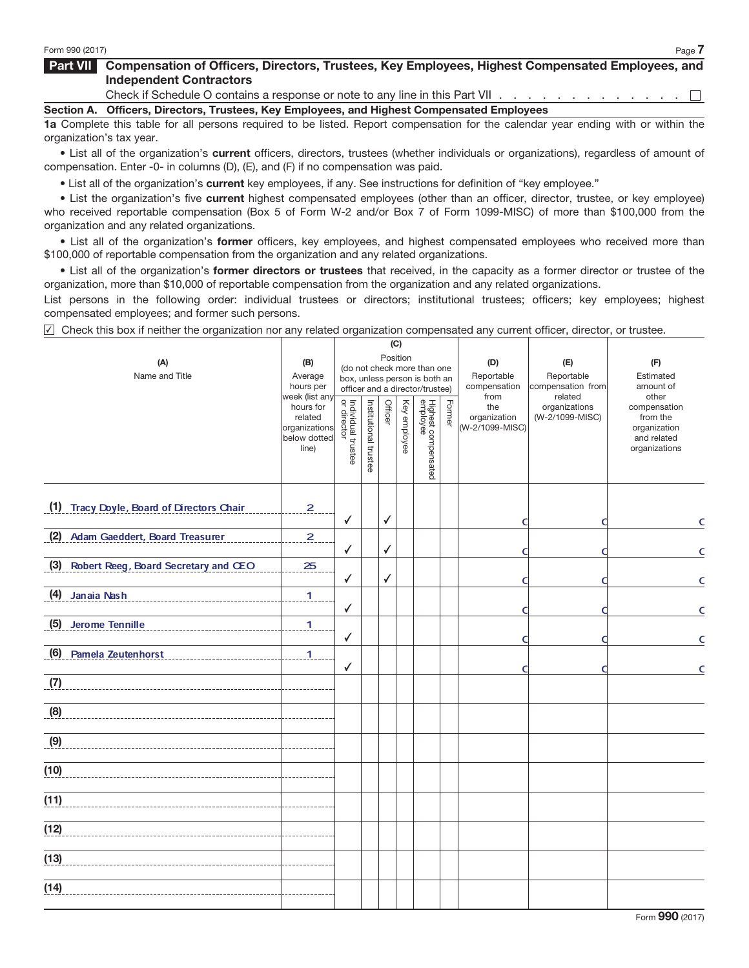## Part VII Compensation of Officers, Directors, Trustees, Key Employees, Highest Compensated Employees, and Independent Contractors

Check if Schedule O contains a response or note to any line in this Part VII . . . . . . . . . . . .  $\Box$ 

Section A. Officers, Directors, Trustees, Key Employees, and Highest Compensated Employees

1a Complete this table for all persons required to be listed. Report compensation for the calendar year ending with or within the organization's tax year.

• List all of the organization's current officers, directors, trustees (whether individuals or organizations), regardless of amount of compensation. Enter -0- in columns (D), (E), and (F) if no compensation was paid.

• List all of the organization's current key employees, if any. See instructions for definition of "key employee."

• List the organization's five current highest compensated employees (other than an officer, director, trustee, or key employee) who received reportable compensation (Box 5 of Form W-2 and/or Box 7 of Form 1099-MISC) of more than \$100,000 from the organization and any related organizations.

• List all of the organization's former officers, key employees, and highest compensated employees who received more than \$100,000 of reportable compensation from the organization and any related organizations.

• List all of the organization's former directors or trustees that received, in the capacity as a former director or trustee of the organization, more than \$10,000 of reportable compensation from the organization and any related organizations.

List persons in the following order: individual trustees or directors; institutional trustees; officers; key employees; highest compensated employees; and former such persons.

 $\vee$  Check this box if neither the organization nor any related organization compensated any current officer, director, or trustee.

|                                           |                                                                                  |                                                                                                             |                       |                                   | (C)                                    |                                 |        |                                                |                                             |                                                                                   |
|-------------------------------------------|----------------------------------------------------------------------------------|-------------------------------------------------------------------------------------------------------------|-----------------------|-----------------------------------|----------------------------------------|---------------------------------|--------|------------------------------------------------|---------------------------------------------|-----------------------------------------------------------------------------------|
| (A)<br>Name and Title                     | (B)<br>Average<br>hours per                                                      | Position<br>(do not check more than one<br>box, unless person is both an<br>officer and a director/trustee) |                       | (D)<br>Reportable<br>compensation | (E)<br>Reportable<br>compensation from | (F)<br>Estimated<br>amount of   |        |                                                |                                             |                                                                                   |
|                                           | week (list any<br>hours for<br>related<br>organizations<br>below dotted<br>line) | Individual trustee<br>or director                                                                           | Institutional trustee | Officer                           | Key employee                           | Highest compensated<br>employee | Former | from<br>the<br>organization<br>(W-2/1099-MISC) | related<br>organizations<br>(W-2/1099-MISC) | other<br>compensation<br>from the<br>organization<br>and related<br>organizations |
| (1) Tracy Doyle, Board of Directors Chair | $\overline{2}$                                                                   | ✓                                                                                                           |                       | √                                 |                                        |                                 |        | a                                              |                                             | $\mathsf{C}$                                                                      |
| (2) Adam Gaeddert, Board Treasurer        | $\overline{2}$                                                                   | ✓                                                                                                           |                       | ✓                                 |                                        |                                 |        | г                                              |                                             | $\mathsf{C}$                                                                      |
| (3) Robert Reeg, Board Secretary and CEO  | 25                                                                               | ✓                                                                                                           |                       | ✓                                 |                                        |                                 |        | a                                              |                                             | $\mathsf{C}$                                                                      |
| (4) Janaia Nash                           | $\mathbf{1}$                                                                     | ✓                                                                                                           |                       |                                   |                                        |                                 |        | a                                              |                                             | $\mathsf{C}$                                                                      |
| (5) Jerome Tennille                       | 1                                                                                | ✓                                                                                                           |                       |                                   |                                        |                                 |        | O                                              | г                                           | $\mathsf{C}$                                                                      |
| (6) Pamela Zeutenhorst                    | 1                                                                                | ✓                                                                                                           |                       |                                   |                                        |                                 |        | O                                              |                                             | $\mathsf{C}$                                                                      |
| (7)                                       |                                                                                  |                                                                                                             |                       |                                   |                                        |                                 |        |                                                |                                             |                                                                                   |
| (8)                                       |                                                                                  |                                                                                                             |                       |                                   |                                        |                                 |        |                                                |                                             |                                                                                   |
| (9)                                       |                                                                                  |                                                                                                             |                       |                                   |                                        |                                 |        |                                                |                                             |                                                                                   |
| (10)                                      |                                                                                  |                                                                                                             |                       |                                   |                                        |                                 |        |                                                |                                             |                                                                                   |
| (11)                                      |                                                                                  |                                                                                                             |                       |                                   |                                        |                                 |        |                                                |                                             |                                                                                   |
| (12)                                      |                                                                                  |                                                                                                             |                       |                                   |                                        |                                 |        |                                                |                                             |                                                                                   |
| (13)                                      |                                                                                  |                                                                                                             |                       |                                   |                                        |                                 |        |                                                |                                             |                                                                                   |
| (14)                                      |                                                                                  |                                                                                                             |                       |                                   |                                        |                                 |        |                                                |                                             |                                                                                   |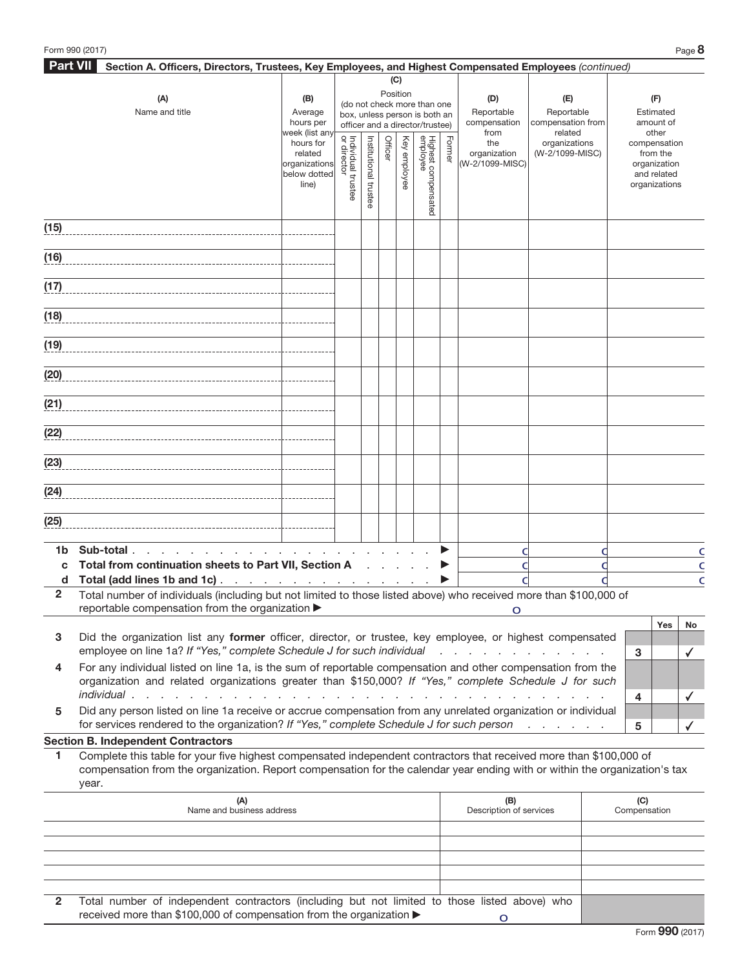| <b>Part VII</b> | Section A. Officers, Directors, Trustees, Key Employees, and Highest Compensated Employees (continued)                     |                                   |                                   |               |         |          |                                                              |                         |                 |                                    |                             |
|-----------------|----------------------------------------------------------------------------------------------------------------------------|-----------------------------------|-----------------------------------|---------------|---------|----------|--------------------------------------------------------------|-------------------------|-----------------|------------------------------------|-----------------------------|
|                 |                                                                                                                            |                                   |                                   |               |         | (C)      |                                                              |                         |                 |                                    |                             |
|                 | (A)                                                                                                                        | (B)                               |                                   |               |         | Position |                                                              |                         | (D)             | (E)                                | (F)                         |
|                 | Name and title                                                                                                             | Average                           |                                   |               |         |          | (do not check more than one<br>box, unless person is both an |                         | Reportable      | Reportable                         | Estimated                   |
|                 |                                                                                                                            | hours per                         |                                   |               |         |          | officer and a director/trustee)                              |                         | compensation    | compensation from                  | amount of                   |
|                 |                                                                                                                            | week (list any<br>hours for       |                                   |               |         | Key      |                                                              | Form                    | from<br>the     | related<br>organizations           | other<br>compensation       |
|                 |                                                                                                                            | related                           |                                   |               | Officer |          |                                                              | $\overline{\mathbb{Q}}$ | organization    | (W-2/1099-MISC)                    | from the                    |
|                 |                                                                                                                            | organizations<br>below dotted     |                                   | Institutional |         | employee |                                                              |                         | (W-2/1099-MISC) |                                    | organization<br>and related |
|                 |                                                                                                                            | line)                             | Individual trustee<br>or director |               |         |          |                                                              |                         |                 |                                    | organizations               |
|                 |                                                                                                                            |                                   |                                   | trustee       |         |          | Highest compensated<br>employee                              |                         |                 |                                    |                             |
|                 |                                                                                                                            |                                   |                                   |               |         |          |                                                              |                         |                 |                                    |                             |
| (15)            |                                                                                                                            |                                   |                                   |               |         |          |                                                              |                         |                 |                                    |                             |
|                 |                                                                                                                            |                                   |                                   |               |         |          |                                                              |                         |                 |                                    |                             |
| (16)            |                                                                                                                            |                                   |                                   |               |         |          |                                                              |                         |                 |                                    |                             |
|                 |                                                                                                                            |                                   |                                   |               |         |          |                                                              |                         |                 |                                    |                             |
| (17)            |                                                                                                                            |                                   |                                   |               |         |          |                                                              |                         |                 |                                    |                             |
|                 |                                                                                                                            |                                   |                                   |               |         |          |                                                              |                         |                 |                                    |                             |
| (18)            |                                                                                                                            |                                   |                                   |               |         |          |                                                              |                         |                 |                                    |                             |
| (19)            |                                                                                                                            |                                   |                                   |               |         |          |                                                              |                         |                 |                                    |                             |
|                 |                                                                                                                            |                                   |                                   |               |         |          |                                                              |                         |                 |                                    |                             |
| (20)            |                                                                                                                            |                                   |                                   |               |         |          |                                                              |                         |                 |                                    |                             |
|                 |                                                                                                                            |                                   |                                   |               |         |          |                                                              |                         |                 |                                    |                             |
| (21)            |                                                                                                                            |                                   |                                   |               |         |          |                                                              |                         |                 |                                    |                             |
|                 |                                                                                                                            |                                   |                                   |               |         |          |                                                              |                         |                 |                                    |                             |
| (22)            |                                                                                                                            |                                   |                                   |               |         |          |                                                              |                         |                 |                                    |                             |
|                 |                                                                                                                            |                                   |                                   |               |         |          |                                                              |                         |                 |                                    |                             |
| (23)            |                                                                                                                            |                                   |                                   |               |         |          |                                                              |                         |                 |                                    |                             |
|                 |                                                                                                                            |                                   |                                   |               |         |          |                                                              |                         |                 |                                    |                             |
| (24)            |                                                                                                                            |                                   |                                   |               |         |          |                                                              |                         |                 |                                    |                             |
|                 |                                                                                                                            |                                   |                                   |               |         |          |                                                              |                         |                 |                                    |                             |
| (25)            |                                                                                                                            |                                   |                                   |               |         |          |                                                              |                         |                 |                                    |                             |
|                 |                                                                                                                            |                                   |                                   |               |         |          |                                                              |                         |                 |                                    |                             |
| 1b              | Sub-total.<br>the contract of the contract of the con-                                                                     |                                   |                                   |               |         |          |                                                              |                         | O               |                                    | C                           |
| C               | Total from continuation sheets to Part VII, Section A                                                                      |                                   |                                   |               |         |          |                                                              |                         | С               |                                    | C                           |
| d               | Total (add lines 1b and 1c)                                                                                                |                                   |                                   |               |         |          |                                                              |                         |                 |                                    | C                           |
| $\mathbf{2}$    | Total number of individuals (including but not limited to those listed above) who received more than \$100,000 of          |                                   |                                   |               |         |          |                                                              |                         |                 |                                    |                             |
|                 | reportable compensation from the organization ▶                                                                            |                                   |                                   |               |         |          |                                                              |                         | Ő               |                                    |                             |
| 3               | Did the organization list any former officer, director, or trustee, key employee, or highest compensated                   |                                   |                                   |               |         |          |                                                              |                         |                 |                                    | Yes<br>No                   |
|                 | employee on line 1a? If "Yes," complete Schedule J for such individual                                                     |                                   |                                   |               |         |          |                                                              |                         |                 | and a series of the company of the | 3<br>$\checkmark$           |
| 4               | For any individual listed on line 1a, is the sum of reportable compensation and other compensation from the                |                                   |                                   |               |         |          |                                                              |                         |                 |                                    |                             |
|                 | organization and related organizations greater than \$150,000? If "Yes," complete Schedule J for such                      |                                   |                                   |               |         |          |                                                              |                         |                 |                                    |                             |
|                 | individual.<br><b>Contract Contract</b><br>$\mathcal{L} = \mathcal{L}$                                                     | and the company of the company of |                                   |               |         |          |                                                              |                         |                 |                                    | 4<br>✓                      |
| 5               | Did any person listed on line 1a receive or accrue compensation from any unrelated organization or individual              |                                   |                                   |               |         |          |                                                              |                         |                 |                                    |                             |
|                 | for services rendered to the organization? If "Yes," complete Schedule J for such person                                   |                                   |                                   |               |         |          |                                                              |                         |                 | and the contract of the state      | 5                           |
|                 | <b>Section B. Independent Contractors</b>                                                                                  |                                   |                                   |               |         |          |                                                              |                         |                 |                                    |                             |
| 1               | Complete this table for your five highest compensated independent contractors that received more than \$100,000 of         |                                   |                                   |               |         |          |                                                              |                         |                 |                                    |                             |
|                 | compensation from the organization. Report compensation for the calendar year ending with or within the organization's tax |                                   |                                   |               |         |          |                                                              |                         |                 |                                    |                             |
|                 | year.                                                                                                                      |                                   |                                   |               |         |          |                                                              |                         |                 |                                    |                             |

|                | (A)<br>Name and business address                                                              | (B)<br>Description of services | (C)<br>Compensation |
|----------------|-----------------------------------------------------------------------------------------------|--------------------------------|---------------------|
|                |                                                                                               |                                |                     |
|                |                                                                                               |                                |                     |
|                |                                                                                               |                                |                     |
|                |                                                                                               |                                |                     |
|                |                                                                                               |                                |                     |
| $\mathbf{2}^-$ | Total number of independent contractors (including but not limited to those listed above) who |                                |                     |
|                | received more than \$100,000 of compensation from the organization ▶                          |                                |                     |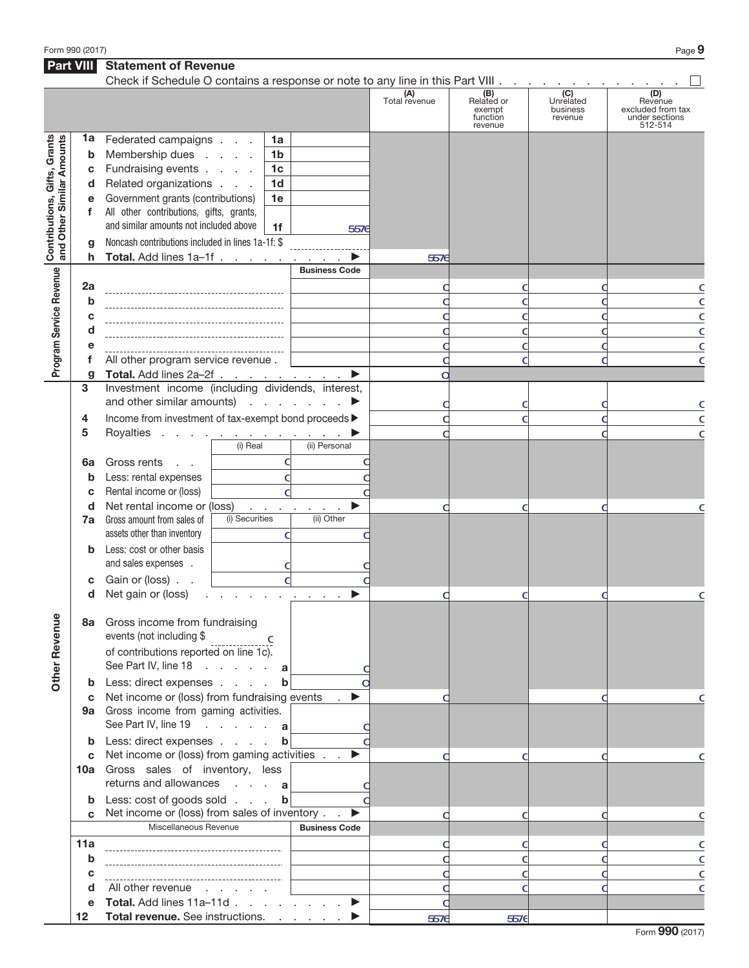Form 990 (2017)  $Page$   $\Theta$ 

|                                                                                                                                                                                                                                                                                        |                   | <b>Statement of Revenue</b>                                                                                                                                                 |                                                          |                      |                      |                               |                     |                                                |
|----------------------------------------------------------------------------------------------------------------------------------------------------------------------------------------------------------------------------------------------------------------------------------------|-------------------|-----------------------------------------------------------------------------------------------------------------------------------------------------------------------------|----------------------------------------------------------|----------------------|----------------------|-------------------------------|---------------------|------------------------------------------------|
|                                                                                                                                                                                                                                                                                        |                   | Check if Schedule O contains a response or note to any line in this Part VIII.                                                                                              |                                                          |                      | (A)<br>Total revenue | (B)<br>Related or             | (C)<br>Unrelated    | (D)<br>Revenue                                 |
|                                                                                                                                                                                                                                                                                        |                   |                                                                                                                                                                             |                                                          |                      |                      | exempt<br>function<br>revenue | business<br>revenue | excluded from tax<br>under sections<br>512-514 |
|                                                                                                                                                                                                                                                                                        | 1a<br>b<br>c<br>d | Federated campaigns<br>Membership dues<br>Fundraising events<br>Related organizations                                                                                       | 1a<br>1 <sub>b</sub><br>1 <sub>c</sub><br>1 <sub>d</sub> |                      |                      |                               |                     |                                                |
|                                                                                                                                                                                                                                                                                        | e<br>f            | Government grants (contributions)<br>All other contributions, gifts, grants,<br>and similar amounts not included above<br>Noncash contributions included in lines 1a-1f: \$ | 1e<br>1f                                                 | 5576                 |                      |                               |                     |                                                |
|                                                                                                                                                                                                                                                                                        | h                 | Total. Add lines 1a-1f                                                                                                                                                      |                                                          |                      | 5576                 |                               |                     |                                                |
|                                                                                                                                                                                                                                                                                        |                   |                                                                                                                                                                             |                                                          | <b>Business Code</b> |                      |                               |                     |                                                |
| <b>Part VIII</b><br>Contributions, Gifts, Grants<br>and Other Similar Amounts<br>g<br>Program Service Revenue<br>2a<br>b<br>C<br>d<br>е<br>f<br>g<br>3<br>4<br>5<br>6a<br>b<br>c<br>d<br>7a<br>b<br>c<br>d<br><b>Other Revenue</b><br>C<br>b<br>C<br>b<br>C<br>11a<br>b<br>C<br>d<br>е |                   |                                                                                                                                                                             |                                                          |                      |                      |                               | C<br>C              |                                                |
|                                                                                                                                                                                                                                                                                        |                   |                                                                                                                                                                             |                                                          |                      |                      |                               |                     | C                                              |
|                                                                                                                                                                                                                                                                                        |                   |                                                                                                                                                                             |                                                          |                      |                      |                               |                     | C                                              |
|                                                                                                                                                                                                                                                                                        |                   |                                                                                                                                                                             |                                                          |                      |                      |                               |                     | C                                              |
|                                                                                                                                                                                                                                                                                        |                   | All other program service revenue.<br>Total. Add lines 2a-2f                                                                                                                |                                                          |                      | С                    |                               |                     | C                                              |
|                                                                                                                                                                                                                                                                                        |                   | Investment income (including dividends, interest,<br>and other similar amounts) $\cdots$ $\cdots$                                                                           |                                                          |                      |                      |                               |                     |                                                |
|                                                                                                                                                                                                                                                                                        |                   | Income from investment of tax-exempt bond proceeds >                                                                                                                        |                                                          |                      |                      |                               |                     | C<br>C                                         |
|                                                                                                                                                                                                                                                                                        |                   | Royalties<br>the contract of the contract of the                                                                                                                            |                                                          |                      |                      |                               |                     | C                                              |
|                                                                                                                                                                                                                                                                                        |                   |                                                                                                                                                                             | (i) Real                                                 | (ii) Personal        |                      |                               |                     |                                                |
|                                                                                                                                                                                                                                                                                        |                   | Gross rents<br>$\mathbf{r} = \mathbf{r}$                                                                                                                                    | C                                                        |                      |                      |                               |                     |                                                |
|                                                                                                                                                                                                                                                                                        |                   | Less: rental expenses                                                                                                                                                       | C                                                        |                      |                      |                               |                     |                                                |
|                                                                                                                                                                                                                                                                                        |                   | Rental income or (loss)                                                                                                                                                     |                                                          |                      |                      |                               |                     |                                                |
|                                                                                                                                                                                                                                                                                        |                   | Net rental income or (loss)                                                                                                                                                 | and a state                                              |                      |                      | C                             |                     | C                                              |
|                                                                                                                                                                                                                                                                                        |                   | Gross amount from sales of<br>assets other than inventory                                                                                                                   | (i) Securities<br>C                                      | (ii) Other           |                      |                               |                     |                                                |
|                                                                                                                                                                                                                                                                                        |                   | Less: cost or other basis<br>and sales expenses .<br>Gain or (loss).                                                                                                        |                                                          |                      |                      |                               |                     |                                                |
|                                                                                                                                                                                                                                                                                        |                   | Net gain or (loss)                                                                                                                                                          |                                                          |                      |                      |                               |                     |                                                |
|                                                                                                                                                                                                                                                                                        |                   | 8a Gross income from fundraising                                                                                                                                            |                                                          |                      |                      |                               |                     | C                                              |
|                                                                                                                                                                                                                                                                                        |                   | events (not including \$<br>of contributions reported on line 1c).<br>See Part IV, line 18 a                                                                                | <b>C</b>                                                 |                      |                      |                               |                     |                                                |
|                                                                                                                                                                                                                                                                                        |                   | <b>b</b> Less: direct expenses                                                                                                                                              | $\mathbf b$                                              |                      |                      |                               |                     |                                                |
|                                                                                                                                                                                                                                                                                        |                   | Net income or (loss) from fundraising events<br>9a Gross income from gaming activities.<br>See Part IV, line 19 a                                                           |                                                          | $\bullet$            |                      |                               |                     |                                                |
|                                                                                                                                                                                                                                                                                        |                   | Less: direct expenses b                                                                                                                                                     |                                                          |                      |                      |                               |                     |                                                |
|                                                                                                                                                                                                                                                                                        |                   | Net income or (loss) from gaming activities<br>10a Gross sales of inventory, less<br>returns and allowances a                                                               |                                                          | ▶                    |                      |                               |                     |                                                |
|                                                                                                                                                                                                                                                                                        |                   | Less: cost of goods sold b                                                                                                                                                  |                                                          |                      |                      |                               |                     |                                                |
|                                                                                                                                                                                                                                                                                        |                   | Net income or (loss) from sales of inventory.                                                                                                                               |                                                          | ▶                    |                      |                               |                     |                                                |
|                                                                                                                                                                                                                                                                                        |                   | Miscellaneous Revenue                                                                                                                                                       |                                                          | <b>Business Code</b> |                      |                               |                     |                                                |
|                                                                                                                                                                                                                                                                                        |                   |                                                                                                                                                                             |                                                          |                      |                      | C                             |                     | C                                              |
|                                                                                                                                                                                                                                                                                        |                   |                                                                                                                                                                             |                                                          |                      |                      | C                             |                     | C                                              |
|                                                                                                                                                                                                                                                                                        |                   | All other revenue                                                                                                                                                           |                                                          |                      |                      |                               |                     | C                                              |
|                                                                                                                                                                                                                                                                                        |                   | Total. Add lines 11a-11d                                                                                                                                                    |                                                          |                      |                      |                               |                     | C                                              |
|                                                                                                                                                                                                                                                                                        | 12 <sub>2</sub>   | Total revenue. See instructions.                                                                                                                                            |                                                          |                      | 5576                 | 5576                          |                     |                                                |
|                                                                                                                                                                                                                                                                                        |                   |                                                                                                                                                                             |                                                          |                      |                      |                               |                     |                                                |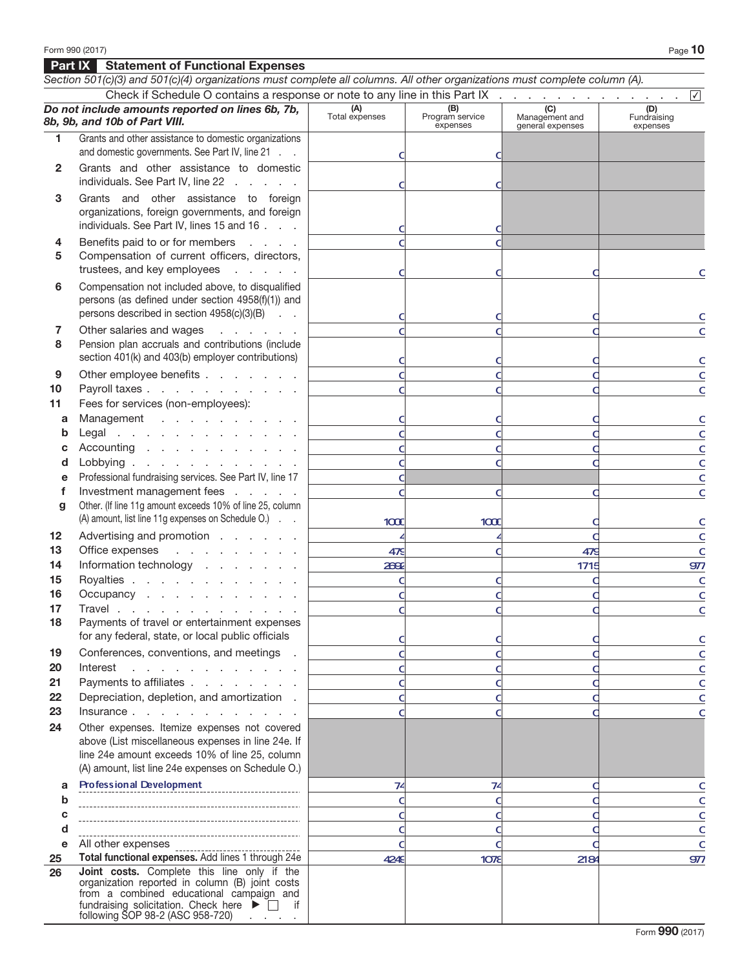## Part IX Statement of Functional Expenses

|          | Section 501(c)(3) and 501(c)(4) organizations must complete all columns. All other organizations must complete column (A).                                                                                                                                                      |                       |                                    |                                           |                                |
|----------|---------------------------------------------------------------------------------------------------------------------------------------------------------------------------------------------------------------------------------------------------------------------------------|-----------------------|------------------------------------|-------------------------------------------|--------------------------------|
|          | Check if Schedule O contains a response or note to any line in this Part IX                                                                                                                                                                                                     |                       |                                    |                                           | $\checkmark$                   |
|          | Do not include amounts reported on lines 6b, 7b,<br>8b, 9b, and 10b of Part VIII.                                                                                                                                                                                               | (A)<br>Total expenses | (B)<br>Program service<br>expenses | (C)<br>Management and<br>general expenses | (D)<br>Fundraising<br>expenses |
| 1.       | Grants and other assistance to domestic organizations                                                                                                                                                                                                                           |                       |                                    |                                           |                                |
|          | and domestic governments. See Part IV, line 21                                                                                                                                                                                                                                  |                       |                                    |                                           |                                |
| 2        | Grants and other assistance to domestic<br>individuals. See Part IV, line 22                                                                                                                                                                                                    |                       |                                    |                                           |                                |
| 3        | Grants and other assistance to foreign                                                                                                                                                                                                                                          |                       |                                    |                                           |                                |
|          | organizations, foreign governments, and foreign<br>individuals. See Part IV, lines 15 and 16                                                                                                                                                                                    |                       |                                    |                                           |                                |
| 4        | Benefits paid to or for members                                                                                                                                                                                                                                                 |                       |                                    |                                           |                                |
| 5        | Compensation of current officers, directors,<br>trustees, and key employees<br>and a state of                                                                                                                                                                                   |                       |                                    |                                           |                                |
| 6        | Compensation not included above, to disqualified                                                                                                                                                                                                                                |                       |                                    |                                           |                                |
|          | persons (as defined under section 4958(f)(1)) and                                                                                                                                                                                                                               |                       |                                    |                                           |                                |
|          | persons described in section 4958(c)(3)(B)                                                                                                                                                                                                                                      |                       |                                    |                                           | c                              |
| 7        | Other salaries and wages<br>and the company                                                                                                                                                                                                                                     |                       |                                    |                                           | C                              |
| 8        | Pension plan accruals and contributions (include                                                                                                                                                                                                                                |                       |                                    |                                           |                                |
|          | section 401(k) and 403(b) employer contributions)                                                                                                                                                                                                                               |                       |                                    |                                           | $\mathsf{C}$                   |
| 9        | Other employee benefits                                                                                                                                                                                                                                                         |                       |                                    |                                           | $\mathsf{C}$                   |
| 10       | Payroll taxes                                                                                                                                                                                                                                                                   |                       |                                    |                                           | $\mathsf{C}$                   |
| 11       | Fees for services (non-employees):                                                                                                                                                                                                                                              |                       |                                    |                                           |                                |
| a        | Management                                                                                                                                                                                                                                                                      |                       |                                    |                                           | $\mathsf{C}$                   |
| b        | Legal                                                                                                                                                                                                                                                                           |                       |                                    |                                           | $\mathsf{C}$                   |
| с        | Accounting                                                                                                                                                                                                                                                                      |                       |                                    |                                           | $\mathsf{C}$                   |
| d<br>e   | Lobbying<br>Professional fundraising services. See Part IV, line 17                                                                                                                                                                                                             |                       |                                    |                                           | $\mathsf{C}$                   |
| f        | Investment management fees                                                                                                                                                                                                                                                      |                       |                                    |                                           | C<br>$\mathsf{C}$              |
| g        | Other. (If line 11g amount exceeds 10% of line 25, column                                                                                                                                                                                                                       |                       |                                    |                                           |                                |
|          | (A) amount, list line 11g expenses on Schedule O.)                                                                                                                                                                                                                              | 1000                  | 1000C                              |                                           | $\mathsf{C}$                   |
| 12       | Advertising and promotion                                                                                                                                                                                                                                                       |                       |                                    |                                           | $\mathsf{C}$                   |
| 13       | Office expenses<br>and the company of the company                                                                                                                                                                                                                               | 479                   |                                    | 479                                       | $\mathsf{C}$                   |
| 14       | Information technology                                                                                                                                                                                                                                                          | 2692                  |                                    | 1715                                      | 977                            |
| 15       | Royalties                                                                                                                                                                                                                                                                       |                       |                                    |                                           | $\mathsf{C}$                   |
| 16       | Occupancy                                                                                                                                                                                                                                                                       |                       |                                    |                                           | $\mathsf{C}$                   |
| 17       | Travel                                                                                                                                                                                                                                                                          |                       |                                    |                                           | C                              |
| 18       | Payments of travel or entertainment expenses                                                                                                                                                                                                                                    |                       |                                    |                                           |                                |
|          | for any federal, state, or local public officials                                                                                                                                                                                                                               |                       |                                    |                                           | C                              |
| 19       | Conferences, conventions, and meetings .                                                                                                                                                                                                                                        |                       |                                    |                                           | C                              |
| 20       | and the contract of the contract of the<br>Interest                                                                                                                                                                                                                             |                       |                                    |                                           | C                              |
| 21<br>22 | Payments to affiliates<br>Depreciation, depletion, and amortization.                                                                                                                                                                                                            |                       |                                    |                                           | C                              |
| 23       | Insurance                                                                                                                                                                                                                                                                       |                       |                                    |                                           | C<br>C                         |
| 24       | Other expenses. Itemize expenses not covered                                                                                                                                                                                                                                    |                       |                                    |                                           |                                |
|          | above (List miscellaneous expenses in line 24e. If<br>line 24e amount exceeds 10% of line 25, column<br>(A) amount, list line 24e expenses on Schedule O.)                                                                                                                      |                       |                                    |                                           |                                |
| a        | <b>Professional Development</b>                                                                                                                                                                                                                                                 | 74                    | 74                                 |                                           | c                              |
| b        |                                                                                                                                                                                                                                                                                 |                       |                                    |                                           | C                              |
| c        |                                                                                                                                                                                                                                                                                 |                       |                                    |                                           | C                              |
| d        |                                                                                                                                                                                                                                                                                 |                       |                                    |                                           | C                              |
| е        | All other expenses                                                                                                                                                                                                                                                              |                       |                                    |                                           | C                              |
| 25       | Total functional expenses. Add lines 1 through 24e                                                                                                                                                                                                                              | 4249                  | 10 <sub>7</sub>                    | 2184                                      | 977                            |
| 26       | Joint costs. Complete this line only if the<br>organization reported in column (B) joint costs<br>from a combined educational campaign and<br>fundraising solicitation. Check here $\blacktriangleright \Box$ if<br>following SOP 98-2 (ASC 958-720) $\overline{\phantom{0}}$ . |                       |                                    |                                           |                                |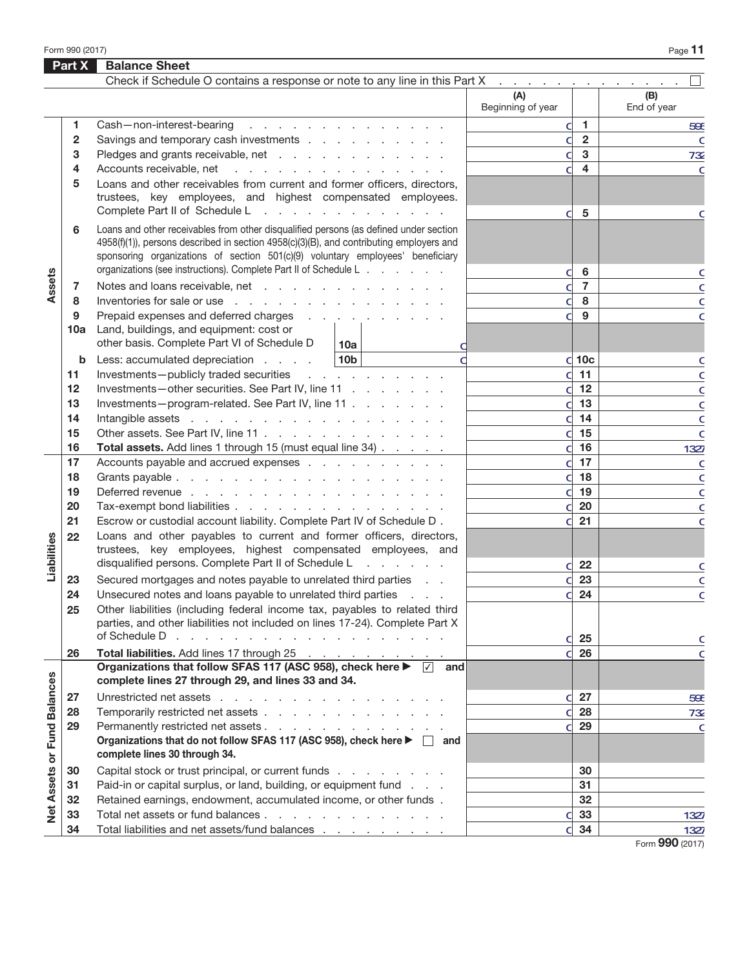Form 990 (2017)  $\qquad \qquad$  Page  $\bf{11}$ 

|                             | Part X  | <b>Balance Sheet</b>                                                                                                                                                                                                                                                                                                                                                                                          |                          |                      |                    |
|-----------------------------|---------|---------------------------------------------------------------------------------------------------------------------------------------------------------------------------------------------------------------------------------------------------------------------------------------------------------------------------------------------------------------------------------------------------------------|--------------------------|----------------------|--------------------|
|                             |         | Check if Schedule O contains a response or note to any line in this Part X                                                                                                                                                                                                                                                                                                                                    |                          |                      |                    |
|                             |         |                                                                                                                                                                                                                                                                                                                                                                                                               | (A)<br>Beginning of year |                      | (B)<br>End of year |
|                             | 1       | Cash-non-interest-bearing<br>and the contract of the contract of the con-                                                                                                                                                                                                                                                                                                                                     | d                        | $\blacktriangleleft$ | 59E                |
|                             | 2       | Savings and temporary cash investments                                                                                                                                                                                                                                                                                                                                                                        | d                        | $\overline{2}$       | $\mathsf{C}$       |
|                             | 3       | Pledges and grants receivable, net                                                                                                                                                                                                                                                                                                                                                                            | d                        | $\mathbf{3}$         | 732                |
|                             | 4       | Accounts receivable, net                                                                                                                                                                                                                                                                                                                                                                                      | C                        | $\overline{4}$       | C                  |
| Assets                      | 5       | Loans and other receivables from current and former officers, directors,<br>trustees, key employees, and highest compensated employees.<br>Complete Part II of Schedule L                                                                                                                                                                                                                                     |                          |                      |                    |
|                             | 6       | and a series of the contract of the con-<br>Loans and other receivables from other disqualified persons (as defined under section<br>4958(f)(1)), persons described in section 4958(c)(3)(B), and contributing employers and<br>sponsoring organizations of section 501(c)(9) voluntary employees' beneficiary                                                                                                | d                        | 5                    | C                  |
|                             |         | organizations (see instructions). Complete Part II of Schedule L                                                                                                                                                                                                                                                                                                                                              |                          | 6                    |                    |
|                             |         | Notes and loans receivable, net                                                                                                                                                                                                                                                                                                                                                                               | d<br>d                   | $\overline{7}$       | c                  |
|                             | 7<br>8  | Inventories for sale or use                                                                                                                                                                                                                                                                                                                                                                                   | d                        | 8                    | C                  |
|                             | 9       | Prepaid expenses and deferred charges                                                                                                                                                                                                                                                                                                                                                                         | d                        | 9                    | C<br>C             |
|                             | 10a     | Land, buildings, and equipment: cost or<br>other basis. Complete Part VI of Schedule D<br>10a                                                                                                                                                                                                                                                                                                                 |                          |                      |                    |
|                             | b       | 10 <sub>b</sub><br>Less: accumulated depreciation                                                                                                                                                                                                                                                                                                                                                             |                          | $d$ 10 $c$           | c                  |
|                             | 11      | Investments-publicly traded securities<br>and the company of the company                                                                                                                                                                                                                                                                                                                                      | d                        | 11                   | C                  |
|                             | $12 \,$ | Investments-other securities. See Part IV, line 11                                                                                                                                                                                                                                                                                                                                                            | d                        | 12                   | C                  |
|                             | 13      | Investments-program-related. See Part IV, line 11                                                                                                                                                                                                                                                                                                                                                             | d                        | 13                   | C                  |
|                             | 14      |                                                                                                                                                                                                                                                                                                                                                                                                               | d                        | 14                   | C                  |
|                             | 15      | Other assets. See Part IV, line 11                                                                                                                                                                                                                                                                                                                                                                            | d                        | 15                   | $\mathsf{C}$       |
|                             | 16      | Total assets. Add lines 1 through 15 (must equal line 34)                                                                                                                                                                                                                                                                                                                                                     | d                        | 16                   | 1327               |
|                             | 17      | Accounts payable and accrued expenses                                                                                                                                                                                                                                                                                                                                                                         | d                        | 17                   | $\mathsf{C}$       |
|                             | 18      |                                                                                                                                                                                                                                                                                                                                                                                                               | d                        | 18                   | $\mathsf{C}$       |
|                             | 19      | Deferred revenue                                                                                                                                                                                                                                                                                                                                                                                              | d                        | 19                   | $\mathsf{C}$       |
|                             | 20      | Tax-exempt bond liabilities                                                                                                                                                                                                                                                                                                                                                                                   | d                        | 20                   | C                  |
|                             | 21      | Escrow or custodial account liability. Complete Part IV of Schedule D.                                                                                                                                                                                                                                                                                                                                        | d                        | 21                   | C                  |
|                             | 22      | Loans and other payables to current and former officers, directors,<br>trustees, key employees, highest compensated employees, and                                                                                                                                                                                                                                                                            |                          |                      |                    |
| Liabilities                 |         | disqualified persons. Complete Part II of Schedule L<br>state and a state                                                                                                                                                                                                                                                                                                                                     | d                        | 22                   | C                  |
|                             | 23      | Secured mortgages and notes payable to unrelated third parties                                                                                                                                                                                                                                                                                                                                                |                          | 23                   | C                  |
|                             | 24      | Unsecured notes and loans payable to unrelated third parties                                                                                                                                                                                                                                                                                                                                                  | ิด                       | 24                   | $\mathsf{C}$       |
|                             | 25      | Other liabilities (including federal income tax, payables to related third<br>parties, and other liabilities not included on lines 17-24). Complete Part X<br>of Schedule D<br>a construction of the contract of the construction of the construction of the construction of the construction of the construction of the construction of the construction of the construction of the construction of the cons |                          |                      |                    |
|                             | 26      | Total liabilities. Add lines 17 through 25                                                                                                                                                                                                                                                                                                                                                                    | d                        | 25<br>26             | c                  |
|                             |         | Organizations that follow SFAS 117 (ASC 958), check here ▶ 7 and                                                                                                                                                                                                                                                                                                                                              |                          |                      | $\mathsf{C}$       |
|                             |         | complete lines 27 through 29, and lines 33 and 34.                                                                                                                                                                                                                                                                                                                                                            |                          |                      |                    |
| Net Assets or Fund Balances | 27      | Unrestricted net assets                                                                                                                                                                                                                                                                                                                                                                                       | d                        | 27                   | 59E                |
|                             | 28      | Temporarily restricted net assets                                                                                                                                                                                                                                                                                                                                                                             | d                        | 28                   | 732                |
|                             | 29      | Permanently restricted net assets<br>Organizations that do not follow SFAS 117 (ASC 958), check here ▶ □ and<br>complete lines 30 through 34.                                                                                                                                                                                                                                                                 | d                        | 29                   | $\mathsf{C}$       |
|                             | 30      | Capital stock or trust principal, or current funds                                                                                                                                                                                                                                                                                                                                                            |                          | 30                   |                    |
|                             | 31      | Paid-in or capital surplus, or land, building, or equipment fund                                                                                                                                                                                                                                                                                                                                              |                          | 31                   |                    |
|                             | 32      | Retained earnings, endowment, accumulated income, or other funds.                                                                                                                                                                                                                                                                                                                                             |                          | 32                   |                    |
|                             | 33      | Total net assets or fund balances                                                                                                                                                                                                                                                                                                                                                                             | d                        | 33                   | 1327               |
|                             | 34      | Total liabilities and net assets/fund balances                                                                                                                                                                                                                                                                                                                                                                | d                        | 34                   | 1327               |
|                             |         |                                                                                                                                                                                                                                                                                                                                                                                                               |                          |                      | Form 990 (2017)    |